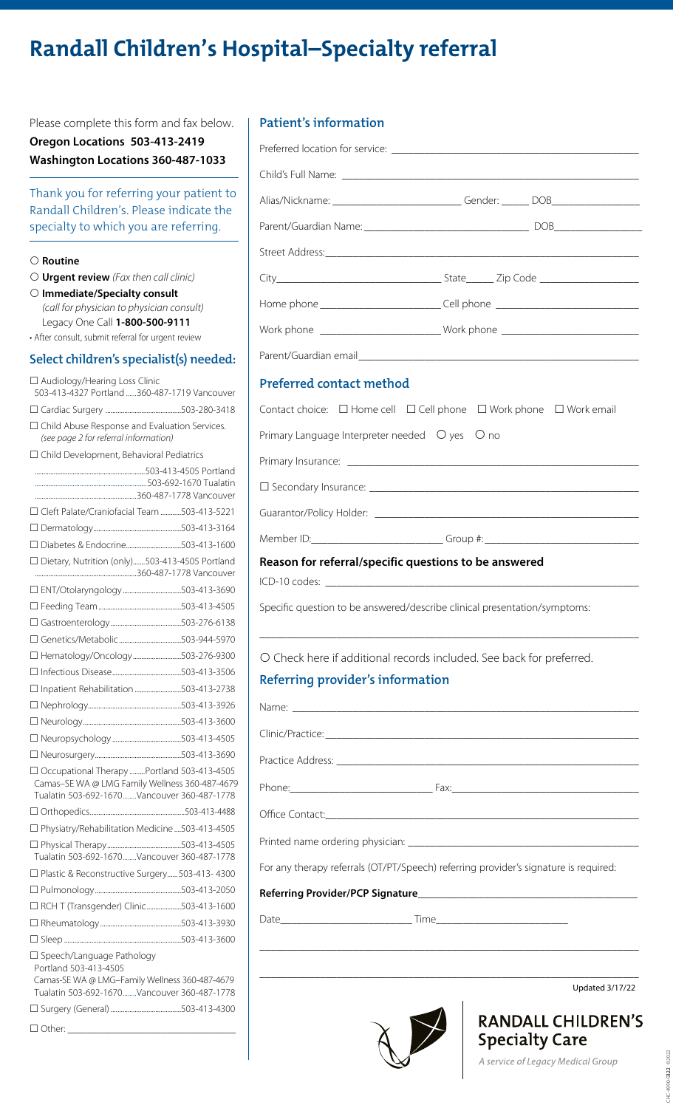# **Randall Children's Hospital–Specialty referral**

Please complete this form and fax below. **Oregon Locations 503-413-2419 Washington Locations 360-487-1033**

Thank you for referring your patient to Randall Children's. Please indicate the specialty to which you are referring.

#### **Routine**

- **Urgent review** *(Fax then call clinic)*
- **Immediate/Specialty consult** *(call for physician to physician consult)* Legacy One Call **1-800-500-9111**
- After consult, submit referral for urgent review

# **Select children's specialist(s) needed:**

| □ Audiology/Hearing Loss Clinic<br>503-413-4327 Portland 360-487-1719 Vancouver                                                                        |  |  |  |
|--------------------------------------------------------------------------------------------------------------------------------------------------------|--|--|--|
|                                                                                                                                                        |  |  |  |
| □ Child Abuse Response and Evaluation Services.<br>(see page 2 for referral information)                                                               |  |  |  |
| □ Child Development, Behavioral Pediatrics                                                                                                             |  |  |  |
|                                                                                                                                                        |  |  |  |
|                                                                                                                                                        |  |  |  |
| □ Cleft Palate/Craniofacial Team 503-413-5221                                                                                                          |  |  |  |
|                                                                                                                                                        |  |  |  |
|                                                                                                                                                        |  |  |  |
| □ Dietary, Nutrition (only)503-413-4505 Portland                                                                                                       |  |  |  |
|                                                                                                                                                        |  |  |  |
|                                                                                                                                                        |  |  |  |
|                                                                                                                                                        |  |  |  |
|                                                                                                                                                        |  |  |  |
| □ Hematology/Oncology503-276-9300                                                                                                                      |  |  |  |
|                                                                                                                                                        |  |  |  |
| □ Inpatient Rehabilitation 503-413-2738                                                                                                                |  |  |  |
|                                                                                                                                                        |  |  |  |
|                                                                                                                                                        |  |  |  |
|                                                                                                                                                        |  |  |  |
|                                                                                                                                                        |  |  |  |
| □ Occupational Therapy Portland 503-413-4505<br>Camas-SE WA @ LMG Family Wellness 360-487-4679<br>Tualatin 503-692-1670 Vancouver 360-487-1778         |  |  |  |
|                                                                                                                                                        |  |  |  |
| □ Physiatry/Rehabilitation Medicine 503-413-4505                                                                                                       |  |  |  |
| Tualatin 503-692-1670 Vancouver 360-487-1778                                                                                                           |  |  |  |
| □ Plastic & Reconstructive Surgery 503-413-4300                                                                                                        |  |  |  |
|                                                                                                                                                        |  |  |  |
| □ RCH T (Transgender) Clinic503-413-1600                                                                                                               |  |  |  |
|                                                                                                                                                        |  |  |  |
|                                                                                                                                                        |  |  |  |
| □ Speech/Language Pathology<br>Portland 503-413-4505<br>Camas-SE WA @ LMG-Family Wellness 360-487-4679<br>Tualatin 503-692-1670 Vancouver 360-487-1778 |  |  |  |
|                                                                                                                                                        |  |  |  |
| $\Box$ Other:                                                                                                                                          |  |  |  |

# **Patient's information**

| Alias/Nickname: ___________________________Gender: _______ DOB__________________ |  |  |  |  |
|----------------------------------------------------------------------------------|--|--|--|--|
|                                                                                  |  |  |  |  |
|                                                                                  |  |  |  |  |
|                                                                                  |  |  |  |  |
| Home phone _______________________________Cell phone ___________________________ |  |  |  |  |
| Work phone ______________________________Work phone ____________________________ |  |  |  |  |
|                                                                                  |  |  |  |  |
| Preferred contact method                                                         |  |  |  |  |
| Contact choice: □ Home cell □ Cell phone □ Work phone □ Work email               |  |  |  |  |
| Primary Language Interpreter needed $\circ$ yes $\circ$ no                       |  |  |  |  |
|                                                                                  |  |  |  |  |
|                                                                                  |  |  |  |  |
|                                                                                  |  |  |  |  |
|                                                                                  |  |  |  |  |
| Reason for referral/specific questions to be answered                            |  |  |  |  |
|                                                                                  |  |  |  |  |
| Specific question to be answered/describe clinical presentation/symptoms:        |  |  |  |  |
| O Check here if additional records included. See back for preferred.             |  |  |  |  |
| Referring provider's information                                                 |  |  |  |  |

Name: \_\_\_\_\_\_\_\_\_\_\_\_\_\_\_\_\_\_\_\_\_\_\_\_\_\_\_\_\_\_\_\_\_\_\_\_\_\_\_\_\_\_\_\_\_\_\_\_\_\_\_\_\_\_\_\_\_\_\_\_\_\_\_

Clinic/Practice:

Practice Address: \_\_\_\_\_\_\_\_\_\_\_\_\_\_\_\_\_\_\_\_\_\_\_\_\_\_\_\_\_\_\_\_\_\_\_\_\_\_\_\_\_\_\_\_\_\_\_\_\_\_\_\_\_\_\_

Phone:\_\_\_\_\_\_\_\_\_\_\_\_\_\_\_\_\_\_\_\_\_\_\_\_\_\_ Fax:\_\_\_\_\_\_\_\_\_\_\_\_\_\_\_\_\_\_\_\_\_\_\_\_\_\_\_\_\_\_\_\_\_\_

Office Contact:\_\_\_

Printed name ordering physician: \_

For any therapy referrals (OT/PT/Speech) referring provider's signature is required:

#### **Referring Provider/PCP Signature**\_\_\_\_\_\_\_\_\_\_\_\_\_\_\_\_\_\_\_\_\_\_\_\_\_\_\_\_\_\_\_\_\_\_\_\_\_\_\_\_

Date\_\_\_\_\_\_\_\_\_\_\_\_\_\_\_\_\_\_\_\_\_\_\_\_ Time\_\_\_\_\_\_\_\_\_\_\_\_\_\_\_\_\_\_\_\_\_\_\_\_

\_\_\_\_\_\_\_\_\_\_\_\_\_\_\_\_\_\_\_\_\_\_\_\_\_\_\_\_\_\_\_\_\_\_\_\_\_\_\_\_\_\_\_\_\_\_\_\_\_\_\_\_\_\_\_\_\_\_\_\_\_\_\_\_\_\_\_\_\_

\_\_\_\_\_\_\_\_\_\_\_\_\_\_\_\_\_\_\_\_\_\_\_\_\_\_\_\_\_\_\_\_\_\_\_\_\_\_\_\_\_\_\_\_\_\_\_\_\_\_\_\_\_\_\_\_\_\_\_\_\_\_\_\_\_\_\_\_\_

Updated 3/17/22



**RANDALL CHILDREN'S Specialty Care** 

A service of Legacy Medical Group